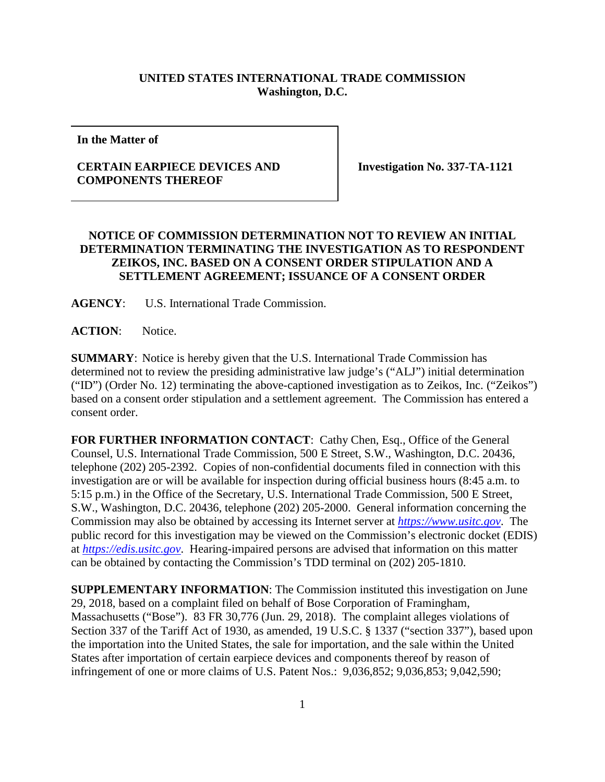## **UNITED STATES INTERNATIONAL TRADE COMMISSION Washington, D.C.**

**In the Matter of**

## **CERTAIN EARPIECE DEVICES AND COMPONENTS THEREOF**

**Investigation No. 337-TA-1121**

## **NOTICE OF COMMISSION DETERMINATION NOT TO REVIEW AN INITIAL DETERMINATION TERMINATING THE INVESTIGATION AS TO RESPONDENT ZEIKOS, INC. BASED ON A CONSENT ORDER STIPULATION AND A SETTLEMENT AGREEMENT; ISSUANCE OF A CONSENT ORDER**

**AGENCY**: U.S. International Trade Commission.

**ACTION**: Notice.

**SUMMARY**: Notice is hereby given that the U.S. International Trade Commission has determined not to review the presiding administrative law judge's ("ALJ") initial determination ("ID") (Order No. 12) terminating the above-captioned investigation as to Zeikos, Inc. ("Zeikos") based on a consent order stipulation and a settlement agreement. The Commission has entered a consent order.

FOR FURTHER INFORMATION CONTACT: Cathy Chen, Esq., Office of the General Counsel, U.S. International Trade Commission, 500 E Street, S.W., Washington, D.C. 20436, telephone (202) 205-2392. Copies of non-confidential documents filed in connection with this investigation are or will be available for inspection during official business hours (8:45 a.m. to 5:15 p.m.) in the Office of the Secretary, U.S. International Trade Commission, 500 E Street, S.W., Washington, D.C. 20436, telephone (202) 205-2000. General information concerning the Commission may also be obtained by accessing its Internet server at *[https://www.usitc.gov](https://www.usitc.gov/)*. The public record for this investigation may be viewed on the Commission's electronic docket (EDIS) at *[https://edis.usitc.gov](https://edis.usitc.gov/)*. Hearing-impaired persons are advised that information on this matter can be obtained by contacting the Commission's TDD terminal on (202) 205-1810.

**SUPPLEMENTARY INFORMATION**: The Commission instituted this investigation on June 29, 2018, based on a complaint filed on behalf of Bose Corporation of Framingham, Massachusetts ("Bose"). 83 FR 30,776 (Jun. 29, 2018). The complaint alleges violations of Section 337 of the Tariff Act of 1930, as amended, 19 U.S.C. § 1337 ("section 337"), based upon the importation into the United States, the sale for importation, and the sale within the United States after importation of certain earpiece devices and components thereof by reason of infringement of one or more claims of U.S. Patent Nos.: 9,036,852; 9,036,853; 9,042,590;